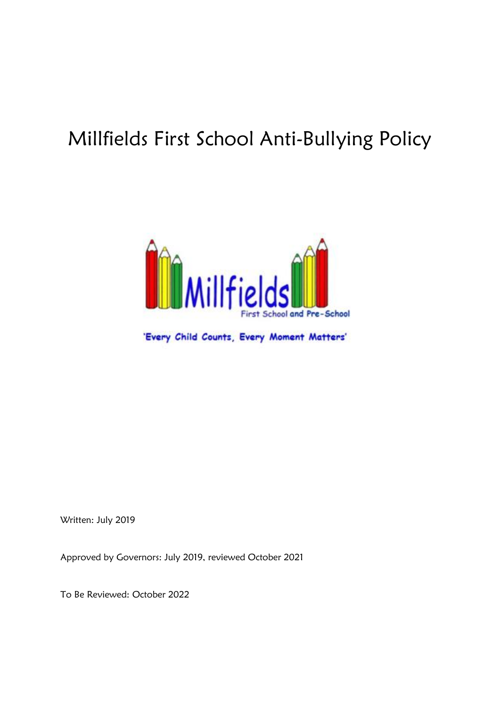# Millfields First School Anti-Bullying Policy



'Every Child Counts, Every Moment Matters'

Written: July 2019

Approved by Governors: July 2019, reviewed October 2021

To Be Reviewed: October 2022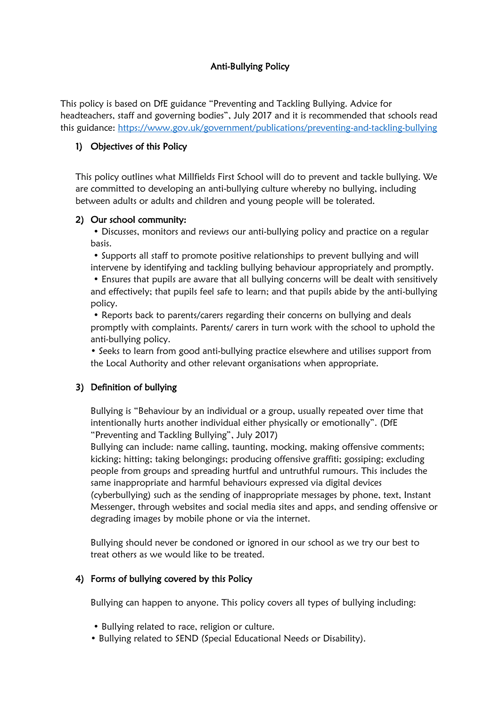# Anti-Bullying Policy

This policy is based on DfE guidance "Preventing and Tackling Bullying. Advice for headteachers, staff and governing bodies", July 2017 and it is recommended that schools read this guidance:<https://www.gov.uk/government/publications/preventing-and-tackling-bullying>

## 1) Objectives of this Policy

This policy outlines what Millfields First School will do to prevent and tackle bullying. We are committed to developing an anti-bullying culture whereby no bullying, including between adults or adults and children and young people will be tolerated.

#### 2) Our school community:

• Discusses, monitors and reviews our anti-bullying policy and practice on a regular basis.

• Supports all staff to promote positive relationships to prevent bullying and will intervene by identifying and tackling bullying behaviour appropriately and promptly.

• Ensures that pupils are aware that all bullying concerns will be dealt with sensitively and effectively; that pupils feel safe to learn; and that pupils abide by the anti-bullying policy.

• Reports back to parents/carers regarding their concerns on bullying and deals promptly with complaints. Parents/ carers in turn work with the school to uphold the anti-bullying policy.

• Seeks to learn from good anti-bullying practice elsewhere and utilises support from the Local Authority and other relevant organisations when appropriate.

# 3) Definition of bullying

Bullying is "Behaviour by an individual or a group, usually repeated over time that intentionally hurts another individual either physically or emotionally". (DfE "Preventing and Tackling Bullying", July 2017)

Bullying can include: name calling, taunting, mocking, making offensive comments; kicking; hitting; taking belongings; producing offensive graffiti; gossiping; excluding people from groups and spreading hurtful and untruthful rumours. This includes the same inappropriate and harmful behaviours expressed via digital devices (cyberbullying) such as the sending of inappropriate messages by phone, text, Instant Messenger, through websites and social media sites and apps, and sending offensive or degrading images by mobile phone or via the internet.

Bullying should never be condoned or ignored in our school as we try our best to treat others as we would like to be treated.

#### 4) Forms of bullying covered by this Policy

Bullying can happen to anyone. This policy covers all types of bullying including:

- Bullying related to race, religion or culture.
- Bullying related to SEND (Special Educational Needs or Disability).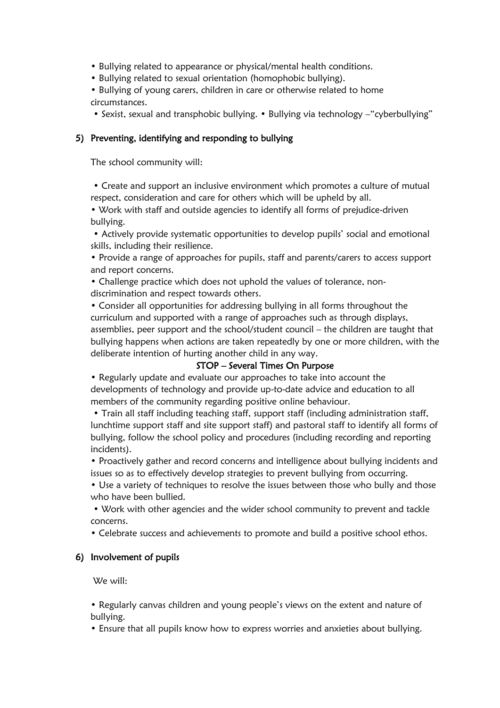- Bullying related to appearance or physical/mental health conditions.
- Bullying related to sexual orientation (homophobic bullying).
- Bullying of young carers, children in care or otherwise related to home circumstances.
- Sexist, sexual and transphobic bullying. Bullying via technology "cyberbullying"

## 5) Preventing, identifying and responding to bullying

The school community will:

• Create and support an inclusive environment which promotes a culture of mutual respect, consideration and care for others which will be upheld by all.

• Work with staff and outside agencies to identify all forms of prejudice-driven bullying.

• Actively provide systematic opportunities to develop pupils' social and emotional skills, including their resilience.

• Provide a range of approaches for pupils, staff and parents/carers to access support and report concerns.

• Challenge practice which does not uphold the values of tolerance, nondiscrimination and respect towards others.

• Consider all opportunities for addressing bullying in all forms throughout the curriculum and supported with a range of approaches such as through displays, assemblies, peer support and the school/student council – the children are taught that bullying happens when actions are taken repeatedly by one or more children, with the deliberate intention of hurting another child in any way.

#### STOP – Several Times On Purpose

• Regularly update and evaluate our approaches to take into account the developments of technology and provide up-to-date advice and education to all members of the community regarding positive online behaviour.

• Train all staff including teaching staff, support staff (including administration staff, lunchtime support staff and site support staff) and pastoral staff to identify all forms of bullying, follow the school policy and procedures (including recording and reporting incidents).

• Proactively gather and record concerns and intelligence about bullying incidents and issues so as to effectively develop strategies to prevent bullying from occurring.

• Use a variety of techniques to resolve the issues between those who bully and those who have been bullied.

• Work with other agencies and the wider school community to prevent and tackle concerns.

• Celebrate success and achievements to promote and build a positive school ethos.

#### 6) Involvement of pupils

We will:

• Regularly canvas children and young people's views on the extent and nature of bullying.

• Ensure that all pupils know how to express worries and anxieties about bullying.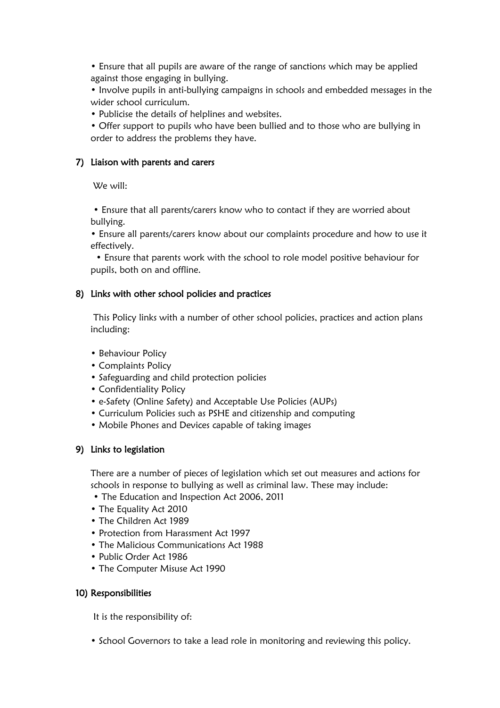• Ensure that all pupils are aware of the range of sanctions which may be applied against those engaging in bullying.

• Involve pupils in anti-bullying campaigns in schools and embedded messages in the wider school curriculum.

• Publicise the details of helplines and websites.

• Offer support to pupils who have been bullied and to those who are bullying in order to address the problems they have.

## 7) Liaison with parents and carers

We will:

• Ensure that all parents/carers know who to contact if they are worried about bullying.

• Ensure all parents/carers know about our complaints procedure and how to use it effectively.

• Ensure that parents work with the school to role model positive behaviour for pupils, both on and offline.

## 8) Links with other school policies and practices

This Policy links with a number of other school policies, practices and action plans including:

- Behaviour Policy
- Complaints Policy
- Safeguarding and child protection policies
- Confidentiality Policy
- e-Safety (Online Safety) and Acceptable Use Policies (AUPs)
- Curriculum Policies such as PSHE and citizenship and computing
- Mobile Phones and Devices capable of taking images

# 9) Links to legislation

There are a number of pieces of legislation which set out measures and actions for schools in response to bullying as well as criminal law. These may include:

- The Education and Inspection Act 2006, 2011
- The Equality Act 2010
- The Children Act 1989
- Protection from Harassment Act 1997
- The Malicious Communications Act 1988
- Public Order Act 1986
- The Computer Misuse Act 1990

#### 10) Responsibilities

It is the responsibility of:

• School Governors to take a lead role in monitoring and reviewing this policy.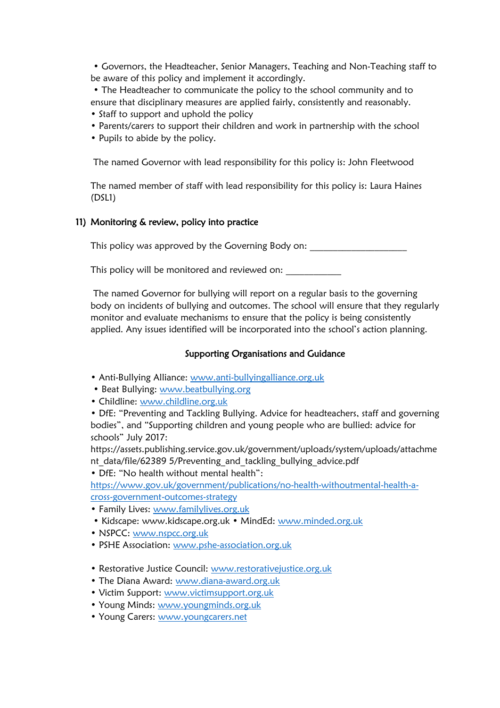• Governors, the Headteacher, Senior Managers, Teaching and Non-Teaching staff to be aware of this policy and implement it accordingly.

• The Headteacher to communicate the policy to the school community and to ensure that disciplinary measures are applied fairly, consistently and reasonably.

- Staff to support and uphold the policy
- Parents/carers to support their children and work in partnership with the school
- Pupils to abide by the policy.

The named Governor with lead responsibility for this policy is: John Fleetwood

The named member of staff with lead responsibility for this policy is: Laura Haines (DSL1)

## 11) Monitoring & review, policy into practice

This policy was approved by the Governing Body on:

This policy will be monitored and reviewed on: \_\_\_\_\_\_\_\_\_\_\_\_\_\_\_\_\_\_\_\_\_\_\_\_\_\_\_\_\_\_\_\_\_

The named Governor for bullying will report on a regular basis to the governing body on incidents of bullying and outcomes. The school will ensure that they regularly monitor and evaluate mechanisms to ensure that the policy is being consistently applied. Any issues identified will be incorporated into the school's action planning.

# Supporting Organisations and Guidance

- Anti-Bullying Alliance: [www.anti-bullyingalliance.org.uk](http://www.anti-bullyingalliance.org.uk/)
- Beat Bullying: [www.beatbullying.org](http://www.beatbullying.org/)
- Childline: [www.childline.org.uk](http://www.childline.org.uk/)

• DfE: "Preventing and Tackling Bullying. Advice for headteachers, staff and governing bodies", and "Supporting children and young people who are bullied: advice for schools" July 2017:

https://assets.publishing.service.gov.uk/government/uploads/system/uploads/attachme nt\_data/file/62389 5/Preventing\_and\_tackling\_bullying\_advice.pdf

• DfE: "No health without mental health":

[https://www.gov.uk/government/publications/no-health-withoutmental-health-a](https://www.gov.uk/government/publications/no-health-withoutmental-health-a-cross-government-outcomes-strategy)[cross-government-outcomes-strategy](https://www.gov.uk/government/publications/no-health-withoutmental-health-a-cross-government-outcomes-strategy)

- Family Lives: [www.familylives.org.uk](http://www.familylives.org.uk/)
- Kidscape: www.kidscape.org.uk MindEd: [www.minded.org.uk](http://www.minded.org.uk/)
- NSPCC: [www.nspcc.org.uk](http://www.nspcc.org.uk/)
- PSHE Association: [www.pshe-association.org.uk](http://www.pshe-association.org.uk/)
- Restorative Justice Council: [www.restorativejustice.org.uk](http://www.restorativejustice.org.uk/)
- The Diana Award: [www.diana-award.org.uk](http://www.diana-award.org.uk/)
- Victim Support: [www.victimsupport.org.uk](http://www.victimsupport.org.uk/)
- Young Minds: [www.youngminds.org.uk](http://www.youngminds.org.uk/)
- Young Carers: [www.youngcarers.net](http://www.youngcarers.net/)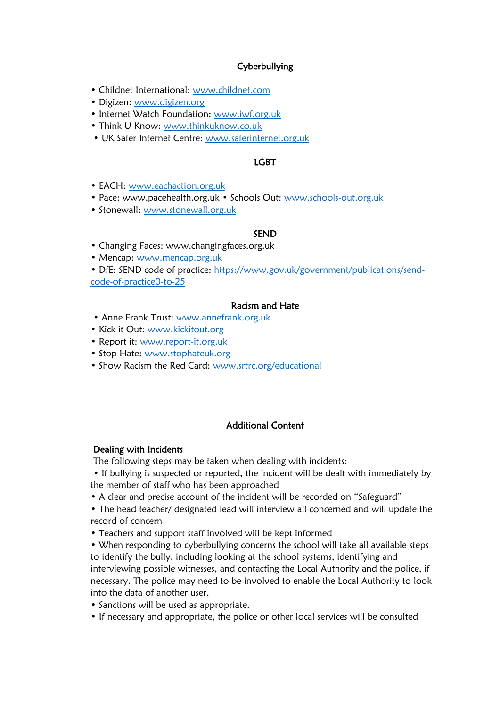# Cyberbullying

- Childnet International: [www.childnet.com](http://www.childnet.com/)
- Digizen: [www.digizen.org](http://www.digizen.org/)
- Internet Watch Foundation: [www.iwf.org.uk](http://www.iwf.org.uk/)
- Think U Know: [www.thinkuknow.co.uk](http://www.thinkuknow.co.uk/)
- UK Safer Internet Centre: [www.saferinternet.org.uk](http://www.saferinternet.org.uk/)

## LGBT

- EACH: [www.eachaction.org.uk](http://www.eachaction.org.uk/)
- Pace: www.pacehealth.org.uk Schools Out: [www.schools-out.org.uk](http://www.schools-out.org.uk/)
- Stonewall: [www.stonewall.org.uk](http://www.stonewall.org.uk/)

#### SEND

- Changing Faces: www.changingfaces.org.uk
- Mencap: [www.mencap.org.uk](http://www.mencap.org.uk/)

• DfE: SEND code of practice: [https://www.gov.uk/government/publications/send](https://www.gov.uk/government/publications/send-code-of-practice0-to-25)[code-of-practice0-to-25](https://www.gov.uk/government/publications/send-code-of-practice0-to-25)

#### Racism and Hate

- Anne Frank Trust: [www.annefrank.org.uk](http://www.annefrank.org.uk/)
- Kick it Out: [www.kickitout.org](http://www.kickitout.org/)
- Report it: [www.report-it.org.uk](http://www.report-it.org.uk/)
- Stop Hate: [www.stophateuk.org](http://www.stophateuk.org/)
- Show Racism the Red Card: [www.srtrc.org/educational](http://www.srtrc.org/educational)

#### Additional Content

#### Dealing with Incidents

The following steps may be taken when dealing with incidents:

• If bullying is suspected or reported, the incident will be dealt with immediately by the member of staff who has been approached

• A clear and precise account of the incident will be recorded on "Safeguard"

• The head teacher/ designated lead will interview all concerned and will update the record of concern

• Teachers and support staff involved will be kept informed

• When responding to cyberbullying concerns the school will take all available steps to identify the bully, including looking at the school systems, identifying and interviewing possible witnesses, and contacting the Local Authority and the police, if necessary. The police may need to be involved to enable the Local Authority to look into the data of another user.

- Sanctions will be used as appropriate.
- If necessary and appropriate, the police or other local services will be consulted